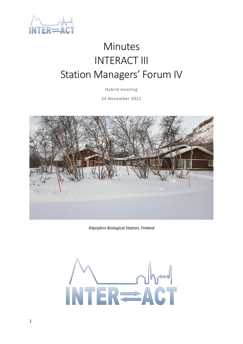

# Minutes INTERACT III Station Managers' Forum IV

Hybrid meeting

24 November 2021



*Kilpisjärvi Biological Station, Finland*

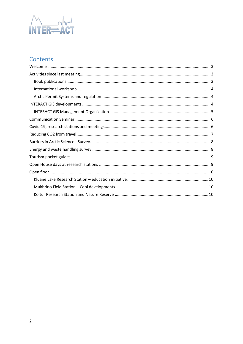

# Contents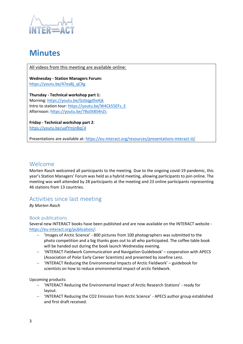

# **Minutes**

All videos from this meeting are available online:

**Wednesday - Station Managers Forum:**  [https://youtu.be/47ea8j\\_qCXg](https://youtu.be/47ea8j_qCXg)

**Thursday - Technical workshop part 1:** Morning[: https://youtu.be/GzGqgd5eKjk](https://youtu.be/GzGqgd5eKjk) Intro to station tour[: https://youtu.be/W4Ck55EFs\\_E](https://youtu.be/W4Ck55EFs_E) Afternoon:<https://youtu.be/78oDt8S4nZs>

**Friday - Technical workshop part 2**: <https://youtu.be/uafYmjnBqC4>

Presentations are available at[: https://eu-interact.org/resources/presentations-interact-iii/](https://eu-interact.org/resources/presentations-interact-iii/)

### <span id="page-2-0"></span>Welcome

Morten Rasch welcomed all participants to the meeting. Due to the ongoing covid-19 pandemic, this year's Station Managers' Forum was held as a hybrid meeting, allowing participants to join online. The meeting was well attended by 28 participants at the meeting and 23 online participants representing 46 stations from 13 countries.

# <span id="page-2-1"></span>Activities since last meeting

*By Morten Rasch*

#### <span id="page-2-2"></span>Book publications

Several new INTERACT books have been published and are now available on the INTERACT website [https://eu-interact.org/publication/:](https://eu-interact.org/publication/)

- − 'Images of Arctic Science' 800 pictures from 100 photographers was submitted to the photo competition and a big thanks goes out to all who participated. The coffee table book will be handed out during the book launch Wednesday evening.
- − 'INTERACT Fieldwork Communication and Navigation Guidebook' cooperation with APECS (Association of Polar Early Career Scientists) and presented by Josefine Lenz.
- − 'INTERACT Reducing the Environmental Impacts of Arctic Fieldwork' guidebook for scientists on how to reduce environmental impact of arctic fieldwork.

Upcoming products:

- − 'INTERACT Reducing the Environmental Impact of Arctic Research Stations' ready for layout.
- − 'INTERACT Reducing the CO2 Emission from Arctic Science' APECS author group established and first draft received.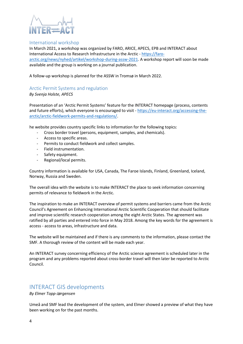

#### <span id="page-3-0"></span>International workshop

In March 2021, a workshop was organized by FARO, ARICE, APECS, EPB and INTERACT about International Access to Research Infrastructure in the Arctic - [https://faro](https://faro-arctic.org/news/nyhed/artikel/workshop-during-assw-2021)[arctic.org/news/nyhed/artikel/workshop-during-assw-2021.](https://faro-arctic.org/news/nyhed/artikel/workshop-during-assw-2021) A workshop report will soon be made available and the group is working on a journal publication.

A follow-up workshop is planned for the ASSW in Tromsø in March 2022.

#### <span id="page-3-1"></span>Arctic Permit Systems and regulation

*By Svenja Holste, APECS*

Presentation of an 'Arctic Permit Systems' feature for the INTERACT homepage (process, contents and future efforts), which everyone is encouraged to visit - [https://eu-interact.org/accessing-the](https://eu-interact.org/accessing-the-arctic/arctic-fieldwork-permits-and-regulations/)[arctic/arctic-fieldwork-permits-and-regulations/.](https://eu-interact.org/accessing-the-arctic/arctic-fieldwork-permits-and-regulations/)

he website provides country specific links to information for the following topics:

- Cross border travel (persons, equipment, samples, and chemicals).
- Access to specific areas.
- Permits to conduct fieldwork and collect samples.
- Field instrumentation.
- Safety equipment.
- Regional/local permits.

Country information is available for USA, Canada, The Faroe Islands, Finland, Greenland, Iceland, Norway, Russia and Sweden.

The overall idea with the website is to make INTERACT the place to seek information concerning permits of relevance to fieldwork in the Arctic.

The inspiration to make an INTERACT overview of permit systems and barriers came from the Arctic Council's Agreement on Enhancing International Arctic Scientific Cooperation that should facilitate and improve scientific research cooperation among the eight Arctic States. The agreement was ratified by all parties and entered into force in May 2018. Among the key words for the agreement is access - access to areas, infrastructure and data.

The website will be maintained and if there is any comments to the information, please contact the SMF. A thorough review of the content will be made each year.

An INTERACT survey concerning efficiency of the Arctic science agreement is scheduled later in the program and any problems reported about cross-border travel will then later be reported to Arctic Council.

### <span id="page-3-2"></span>INTERACT GIS developments

*By Elmer Topp-Jørgensen*

Umeå and SMF lead the development of the system, and Elmer showed a preview of what they have been working on for the past months.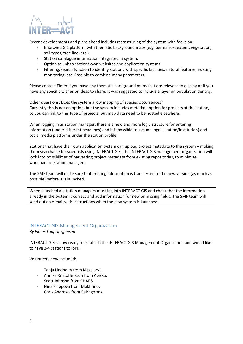

Recent developments and plans ahead includes restructuring of the system with focus on:

- Improved GIS platform with thematic background maps (e.g. permafrost extent, vegetation, soil types, tree line, etc.).
- Station catalogue information integrated in system.
- Option to link to stations own websites and application systems.
- Filtering/search function to identify stations with specific facilities, natural features, existing monitoring, etc. Possible to combine many parameters.

Please contact Elmer if you have any thematic background maps that are relevant to display or if you have any specific wishes or ideas to share. It was suggested to include a layer on population density.

Other questions: Does the system allow mapping of species occurrences? Currently this is not an option, but the system includes metadata option for projects at the station, so you can link to this type of projects, but map data need to be hosted elsewhere.

When logging in as station manager, there is a new and more logic structure for entering information (under different headlines) and it is possible to include logos (station/institution) and social media platforms under the station profile.

Stations that have their own application system can upload project metadata to the system – making them searchable for scientists using INTERACT GIS. The INTERACT GIS management organization will look into possibilities of harvesting project metadata from existing repositories, to minimize workload for station managers.

The SMF team will make sure that existing information is transferred to the new version (as much as possible) before it is launched.

When launched all station managers must log into INTERACT GIS and check that the information already in the system is correct and add information for new or missing fields. The SMF team will send out an e-mail with instructions when the new system is launched.

#### <span id="page-4-0"></span>INTERACT GIS Management Organization

*By Elmer Topp-Jørgensen*

INTERACT GIS is now ready to establish the INTERACT GIS Management Organization and would like to have 3-4 stations to join.

#### Volunteers now included:

- Tanja Lindholm from Kilpisjärvi.
- Annika Kristoffersson from Abisko.
- Scott Johnson from CHARS.
- Nina Filippova from Mukhrino.
- Chris Andrews from Cairngorms.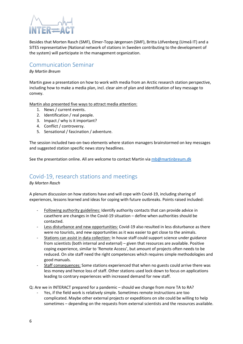

Besides that Morten Rasch (SMF), Elmer-Topp Jørgensen (SMF), Britta Löfvenberg (Umeå IT) and a SITES representative (National network of stations in Sweden contributing to the development of the system) will participate in the management organization.

# <span id="page-5-0"></span>Communication Seminar

#### *By Martin Breum*

Martin gave a presentation on how to work with media from an Arctic research station perspective, including how to make a media plan, incl. clear aim of plan and identification of key message to convey.

Martin also presented five ways to attract media attention:

- 1. News / current events.
- 2. Identification / real people.
- 3. Impact / why is it important?
- 4. Conflict / controversy.
- 5. Sensational / fascination / adventure.

The session included two-on-two elements where station managers brainstormed on key messages and suggested station specific news story headlines.

See the presentation online. All are welcome to contact Martin via [mb@martinbreum.dk](mailto:mb@martinbreum.dk)

# <span id="page-5-1"></span>Covid-19, research stations and meetings

*By Morten Rasch*

A plenum discussion on how stations have and will cope with Covid-19, including sharing of experiences, lessons learned and ideas for coping with future outbreaks. Points raised included:

- Following authority guidelines: Identify authority contacts that can provide advice in casethere are changes in the Covid-19 situation – define when authorities should be contacted.
- Less disturbance and new opportunities: Covid-19 also resulted in less disturbance as there were no tourists, and new opportunities as it was easier to get close to the animals.
- Stations can assist in data collection: In house staff could support science under guidance from scientists (both internal and external) – given that resources are available. Positive coping experience, similar to 'Remote Access', but amount of projects often needs to be reduced. On site staff need the right competences which requires simple methodologies and good manuals.
- Staff consequences: Some stations experienced that when no guests could arrive there was less money and hence loss of staff. Other stations used lock down to focus on applications leading to contrary experiences with increased demand for new staff.

Q: Are we in INTERACT prepared for a pandemic – should we change from more TA to RA?

Yes, if the field work is relatively simple. Sometimes remote instructions are too complicated. Maybe other external projects or expeditions on site could be willing to help sometimes – depending on the requests from external scientists and the resources available.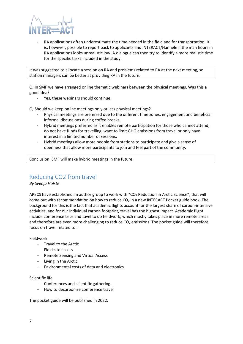

RA applications often underestimate the time needed in the field and for transportation. It is, however, possible to report back to applicants and INTERACT/Hannele if the man hours in RA applications looks unrealistic low. A dialogue can then try to identify a more realistic time for the specific tasks included in the study.

It was suggested to allocate a session on RA and problems related to RA at the next meeting, so station managers can be better at providing RA in the future.

Q: In SMF we have arranged online thematic webinars between the physical meetings. Was this a good idea?

- Yes, these webinars should continue.

Q: Should we keep online meetings only or less physical meetings?

- Physical meetings are preferred due to the different time zones, engagement and beneficial informal discussions during coffee breaks.
- Hybrid meetings preferred as it enables remote participation for those who cannot attend, do not have funds for travelling, want to limit GHG emissions from travel or only have interest in a limited number of sessions.
- Hybrid meetings allow more people from stations to participate and give a sense of openness that allow more participants to join and feel part of the community.

Conclusion: SMF will make hybrid meetings in the future.

# <span id="page-6-0"></span>Reducing CO2 from travel

#### *By Svenja Holste*

APECS have established an author group to work with "CO<sub>2</sub> Reduction in Arctic Science", that will come out with recommendation on how to reduce  $CO<sub>2</sub>$  in a new INTERACT Pocket guide book. The background for this is the fact that academic flights account for the largest share of carbon-intensive activities, and for our individual carbon footprint, travel has the highest impact. Academic flight include conference trips and tavel to do fieldwork, which mostly takes place in more remote areas and therefore are even more challenging to reduce  $CO<sub>2</sub>$  emissions. The pocket guide will therefore focus on travel related to :

#### Fieldwork

- − Travel to the Arctic
- − Field site access
- − Remote Sensing and Virtual Access
- − Living in the Arctic
- − Environmental costs of data and electronics

#### Scientific life

- − Conferences and scientific gathering
- − How to decarbonize conference travel

The pocket guide will be published in 2022.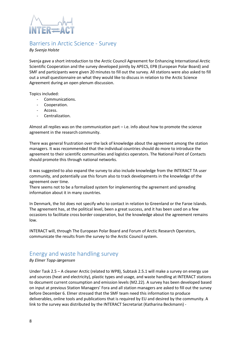

# <span id="page-7-0"></span>Barriers in Arctic Science - Survey

#### *By Svenja Holste*

Svenja gave a short introduction to the Arctic Council Agreement for Enhancing International Arctic Scientific Cooperation and the survey developed jointly by APECS, EPB (European Polar Board) and SMF and participants were given 20 minutes to fill out the survey. All stations were also asked to fill out a small questionnaire on what they would like to discuss in relation to the Arctic Science Agreement during an open plenum discussion.

Topics included:

- Communications.
- Cooperation.
- Access.
- Centralization.

Almost all replies was on the communication part – i.e. info about how to promote the science agreement in the research community.

There was general frustration over the lack of knowledge about the agreement among the station managers. It was recommended that the individual countries should do more to introduce the agreement to their scientific communities and logistics operators. The National Point of Contacts should promote this through national networks.

It was suggested to also expand the survey to also include knowledge from the INTERACT TA user community, and potentially use this forum also to track developments in the knowledge of the agreement over time.

There seems not to be a formalized system for implementing the agreement and spreading information about it in many countries.

In Denmark, the list does not specify who to contact in relation to Greenland or the Faroe Islands. The agreement has, at the political level, been a great success, and it has been used on a few occasions to facilitate cross border cooperation, but the knowledge about the agreement remains low.

INTERACT will, through The European Polar Board and Forum of Arctic Research Operators, communicate the results from the survey to the Arctic Council system.

# <span id="page-7-1"></span>Energy and waste handling survey

#### *By Elmer Topp-Jørgensen*

Under Task 2.5 – A cleaner Arctic (related to WP8), Subtask 2.5.1 will make a survey on energy use and sources (heat and electricity), plastic types and usage, and waste handling at INTERACT stations to document current consumption and emission levels (M2.22). A survey has been developed based on input at previous Station Managers' Fora and all station managers are asked to fill out the survey before December 6. Elmer stressed that the SMF team need this information to produce deliverables, online tools and publications that is required by EU and desired by the community. A link to the survey was distributed by the INTERACT Secretariat (Katharina Beckmann) -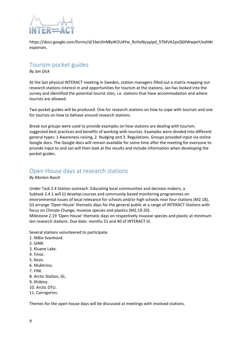

https://docs.google.com/forms/d/1beUlnNByW2U4Yw\_RcHuNysqJpd\_5TMVA2psQ6XWwpeY/edit#r esponses.

# <span id="page-8-0"></span>Tourism pocket guides

*By Jan Dick*

At the last physical INTERACT meeting in Sweden, station managers filled out a matrix mapping out research stations interest in and opportunities for tourism at the stations. Jan has looked into the survey and identified the potential tourist sites, i.e. stations that have accommodation and where tourists are allowed.

Two pocket guides will be produced. One for research stations on how to cope with tourism and one for tourists on how to behave around research stations.

Break out groups were used to provide examples on how stations are dealing with tourism, suggested best practices and benefits of working with tourists. Examples were divided into different general types: 1 Awareness raising, 2. Nudging and 3. Regulations. Groups provided input via online Google docs. The Google docs will remain available for some time after the meeting for everyone to provide input to and Jan will then look at the results and include information when developing the pocket guides.

# <span id="page-8-1"></span>Open House days at research stations

*By Morten Rasch*

Under Task 2.4 Station outreach: Educating local communities and decision makers, a Subtask 2.4.1 will (i) develop courses and community based monitoring programmes on environmental issues of local relevance for schools and/or high schools near four stations (M2.18), (ii) arrange 'Open House' thematic days for the general public at a range of INTERACT Stations with focus on Climate Change, invasive species and plastics (M2.19-20).

Milestone 2.19 'Open House' thematic days on respectively invasive species and plastic at minimum ten research stations. Due date: months 31 and 40 of INTERACT III.

Several stations volunteered to participate:

- 1. NiBio Svanhovd.
- 2. GINR.
- 3. Kluane Lake.
- 4. Finse.
- 5. Kevo.
- 6. Mukhrino.
- 7. FINI.
- 8. Arctic Station, GL.
- 9. Khibiny.
- 10. Arctic DTU.
- 11. Cairngorms.

Themes for the open house days will be discussed at meetings with involved stations.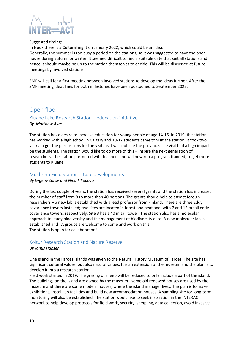

#### Suggested timing:

In Nuuk there is a Cultural night on January 2022, which could be an idea. Generally, the summer is too busy a period on the stations, so it was suggested to have the open house during autumn or winter. It seemed difficult to find a suitable date that suit all stations and hence it should maybe be up to the station themselves to decide. This will be discussed at future meetings by involved stations.

SMF will call for a first meeting between involved stations to develop the ideas further. After the SMF meeting, deadlines for both milestones have been postponed to September 2022.

# <span id="page-9-0"></span>Open floor

# <span id="page-9-1"></span>Kluane Lake Research Station – education initiative

*By Matthew Ayre*

The station has a desire to increase education for young people of age 14-16. In 2019, the station has worked with a high school in Calgary and 10-12 students came to visit the station. It took two years to get the permissions for the visit, as it was outside the province. The visit had a high impact on the students. The station would like to do more of this – inspire the next generation of researchers. The station partnered with teachers and will now run a program (funded) to get more students to Kluane.

#### <span id="page-9-2"></span>Mukhrino Field Station – Cool developments

*By Evgeny Zarov and Nina Filippova*

During the last couple of years, the station has received several grants and the station has increased the number of staff from 8 to more than 40 persons. The grants should help to attract foreign researchers – a new lab is established with a lead professor from Finland. There are three Eddy covariance towers installed; two sites are located in forest and peatland, with 7 and 12 m tall eddy covariance towers, respectively. Site 3 has a 40 m tall tower. The station also has a molecular approach to study biodiversity and the management of biodiversity data. A new molecular lab is established and TA groups are welcome to come and work on this. The station is open for collaboration!

#### <span id="page-9-3"></span>Koltur Research Station and Nature Reserve

#### *By Janus Hansen*

One island in the Faroes Islands was given to the Natural History Museum of Faroes. The site has significant cultural values, but also natural values. It is an extension of the museum and the plan is to develop it into a research station.

Field work started in 2019. The grazing of sheep will be reduced to only include a part of the island. The buildings on the island are owned by the museum - some old renewed houses are used by the museum and there are some modern houses, where the island manager lives. The plan is to make exhibitions, install lab facilities and build new accommodation houses. A sampling site for long-term monitoring will also be established. The station would like to seek inspiration in the INTERACT network to help develop protocols for field work, security, sampling, data collection, avoid invasive